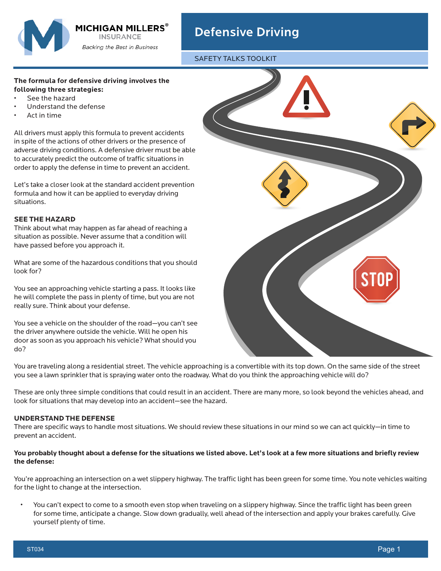

# Defensive Driving

SAFETY TALKS TOOLKIT

## **The formula for defensive driving involves the following three strategies:**

- See the hazard
- Understand the defense
- Act in time

All drivers must apply this formula to prevent accidents in spite of the actions of other drivers or the presence of adverse driving conditions. A defensive driver must be able to accurately predict the outcome of traffic situations in order to apply the defense in time to prevent an accident.

Let's take a closer look at the standard accident prevention formula and how it can be applied to everyday driving situations.

### **SEE THE HAZARD**

Think about what may happen as far ahead of reaching a situation as possible. Never assume that a condition will have passed before you approach it.

What are some of the hazardous conditions that you should look for?

You see an approaching vehicle starting a pass. It looks like he will complete the pass in plenty of time, but you are not really sure. Think about your defense.

You see a vehicle on the shoulder of the road—you can't see the driver anywhere outside the vehicle. Will he open his door as soon as you approach his vehicle? What should you do?



You are traveling along a residential street. The vehicle approaching is a convertible with its top down. On the same side of the street you see a lawn sprinkler that is spraying water onto the roadway. What do you think the approaching vehicle will do?

These are only three simple conditions that could result in an accident. There are many more, so look beyond the vehicles ahead, and look for situations that may develop into an accident—see the hazard.

### **UNDERSTAND THE DEFENSE**

There are specific ways to handle most situations. We should review these situations in our mind so we can act quickly—in time to prevent an accident.

### **You probably thought about a defense for the situations we listed above. Let's look at a few more situations and briefly review the defense:**

You're approaching an intersection on a wet slippery highway. The traffic light has been green for some time. You note vehicles waiting for the light to change at the intersection.

• You can't expect to come to a smooth even stop when traveling on a slippery highway. Since the traffic light has been green for some time, anticipate a change. Slow down gradually, well ahead of the intersection and apply your brakes carefully. Give yourself plenty of time.